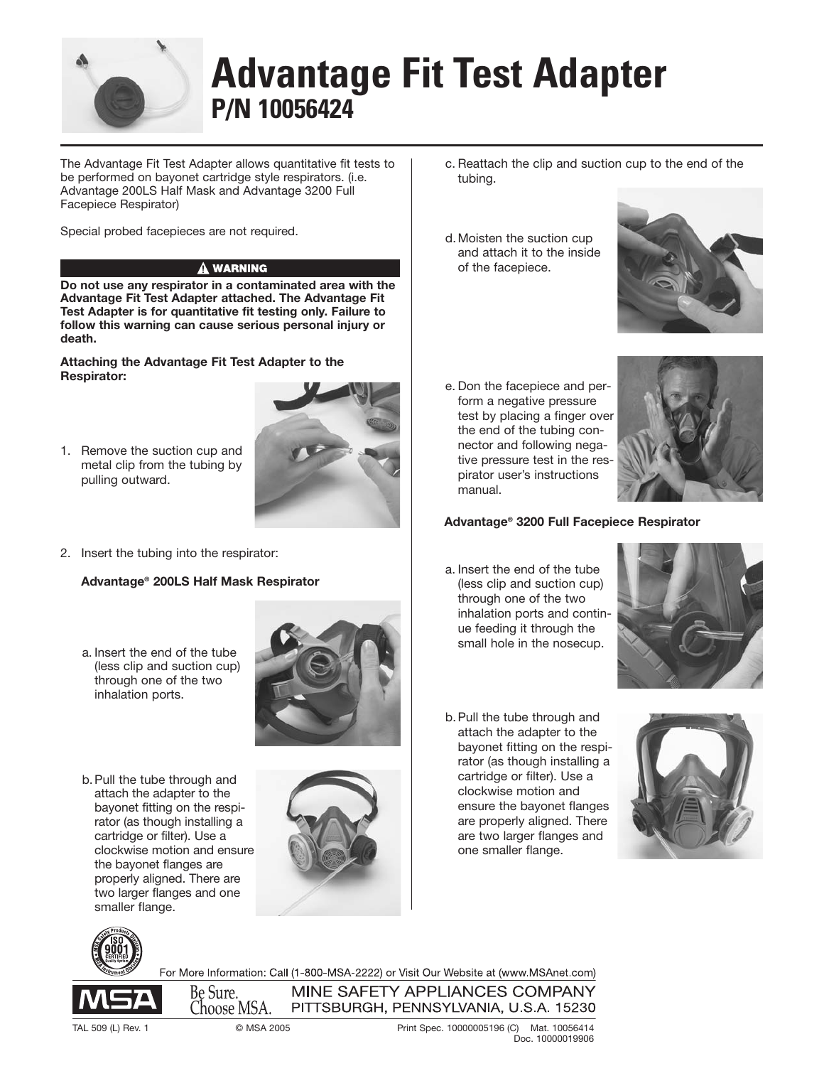

# **Advantage Fit Test Adapter P/N 10056424**

The Advantage Fit Test Adapter allows quantitative fit tests to be performed on bayonet cartridge style respirators. (i.e. Advantage 200LS Half Mask and Advantage 3200 Full Facepiece Respirator)

Special probed facepieces are not required.

## $\hat{\mathbf{A}}$  WARNING

**Do not use any respirator in a contaminated area with the Advantage Fit Test Adapter attached. The Advantage Fit Test Adapter is for quantitative fit testing only. Failure to follow this warning can cause serious personal injury or death.**

**Attaching the Advantage Fit Test Adapter to the Respirator:** 

1. Remove the suction cup and metal clip from the tubing by pulling outward.



2. Insert the tubing into the respirator:

### **Advantage® 200LS Half Mask Respirator**

a. Insert the end of the tube (less clip and suction cup) through one of the two inhalation ports.



b. Pull the tube through and attach the adapter to the bayonet fitting on the respirator (as though installing a cartridge or filter). Use a clockwise motion and ensure the bayonet flanges are properly aligned. There are two larger flanges and one smaller flange.



Be Sure. Choose MSA.

- c. Reattach the clip and suction cup to the end of the tubing.
- d. Moisten the suction cup and attach it to the inside of the facepiece.



e. Don the facepiece and perform a negative pressure test by placing a finger over the end of the tubing connector and following negative pressure test in the respirator user's instructions manual.



#### **Advantage® 3200 Full Facepiece Respirator**

a. Insert the end of the tube (less clip and suction cup) through one of the two inhalation ports and continue feeding it through the small hole in the nosecup.



b. Pull the tube through and attach the adapter to the bayonet fitting on the respirator (as though installing a cartridge or filter). Use a clockwise motion and ensure the bayonet flanges are properly aligned. There are two larger flanges and one smaller flange.



For More Information: Call (1-800-MSA-2222) or Visit Our Website at (www.MSAnet.com) MINE SAFETY APPLIANCES COMPANY

PITTSBURGH, PENNSYLVANIA, U.S.A. 15230

TAL 509 (L) Rev. 1 © MSA 2005 Print Spec. 10000005196 (C) Mat. 10056414 Doc. 10000019906